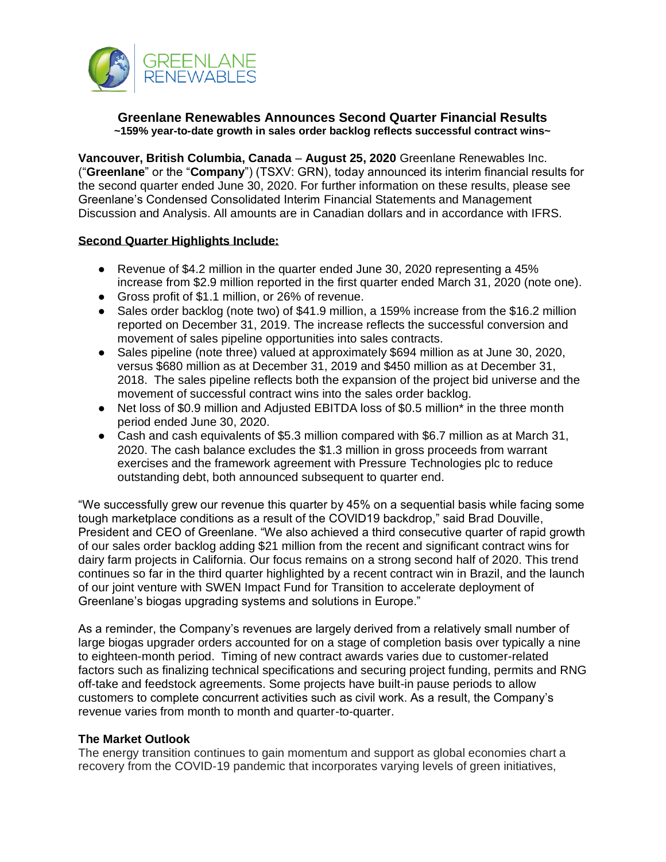

# **Greenlane Renewables Announces Second Quarter Financial Results ~159% year-to-date growth in sales order backlog reflects successful contract wins~**

**Vancouver, British Columbia, Canada** – **August 25, 2020** Greenlane Renewables Inc. ("**Greenlane**" or the "**Company**") (TSXV: GRN), today announced its interim financial results for the second quarter ended June 30, 2020. For further information on these results, please see Greenlane's Condensed Consolidated Interim Financial Statements and Management Discussion and Analysis. All amounts are in Canadian dollars and in accordance with IFRS.

## **Second Quarter Highlights Include:**

- Revenue of \$4.2 million in the quarter ended June 30, 2020 representing a 45% increase from \$2.9 million reported in the first quarter ended March 31, 2020 (note one).
- Gross profit of \$1.1 million, or 26% of revenue.
- Sales order backlog (note two) of \$41.9 million, a 159% increase from the \$16.2 million reported on December 31, 2019. The increase reflects the successful conversion and movement of sales pipeline opportunities into sales contracts.
- Sales pipeline (note three) valued at approximately \$694 million as at June 30, 2020, versus \$680 million as at December 31, 2019 and \$450 million as at December 31, 2018. The sales pipeline reflects both the expansion of the project bid universe and the movement of successful contract wins into the sales order backlog.
- Net loss of \$0.9 million and Adjusted EBITDA loss of \$0.5 million<sup>\*</sup> in the three month period ended June 30, 2020.
- Cash and cash equivalents of \$5.3 million compared with \$6.7 million as at March 31, 2020. The cash balance excludes the \$1.3 million in gross proceeds from warrant exercises and the framework agreement with Pressure Technologies plc to reduce outstanding debt, both announced subsequent to quarter end.

"We successfully grew our revenue this quarter by 45% on a sequential basis while facing some tough marketplace conditions as a result of the COVID19 backdrop," said Brad Douville, President and CEO of Greenlane. "We also achieved a third consecutive quarter of rapid growth of our sales order backlog adding \$21 million from the recent and significant contract wins for dairy farm projects in California. Our focus remains on a strong second half of 2020. This trend continues so far in the third quarter highlighted by a recent contract win in Brazil, and the launch of our joint venture with SWEN Impact Fund for Transition to accelerate deployment of Greenlane's biogas upgrading systems and solutions in Europe."

As a reminder, the Company's revenues are largely derived from a relatively small number of large biogas upgrader orders accounted for on a stage of completion basis over typically a nine to eighteen-month period. Timing of new contract awards varies due to customer-related factors such as finalizing technical specifications and securing project funding, permits and RNG off-take and feedstock agreements. Some projects have built-in pause periods to allow customers to complete concurrent activities such as civil work. As a result, the Company's revenue varies from month to month and quarter-to-quarter.

#### **The Market Outlook**

The energy transition continues to gain momentum and support as global economies chart a recovery from the COVID-19 pandemic that incorporates varying levels of green initiatives,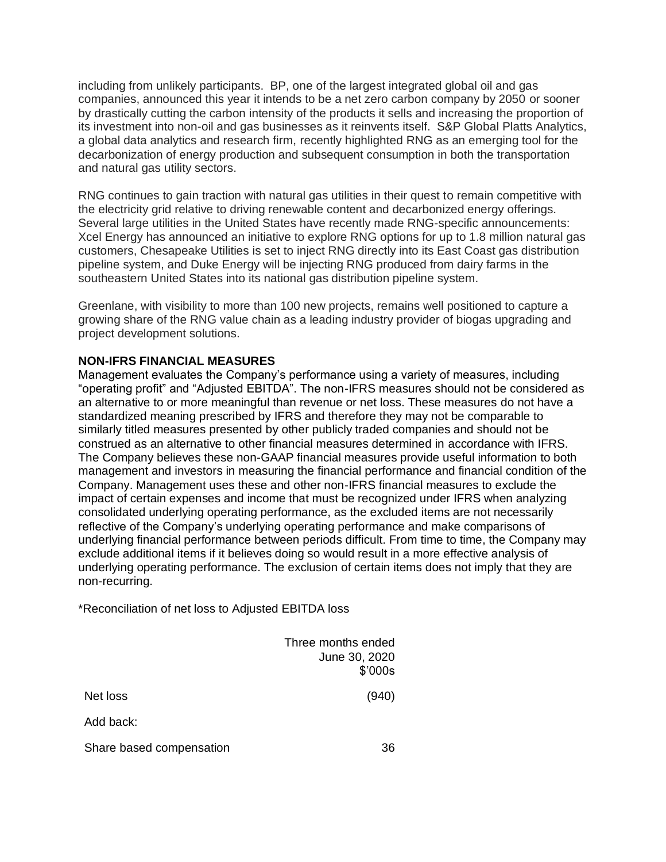including from unlikely participants. BP, one of the largest integrated global oil and gas companies, announced this year it intends to be a net zero carbon company by 2050 or sooner by drastically cutting the carbon intensity of the products it sells and increasing the proportion of its investment into non-oil and gas businesses as it reinvents itself. S&P Global Platts Analytics, a global data analytics and research firm, recently highlighted RNG as an emerging tool for the decarbonization of energy production and subsequent consumption in both the transportation and natural gas utility sectors.

RNG continues to gain traction with natural gas utilities in their quest to remain competitive with the electricity grid relative to driving renewable content and decarbonized energy offerings. Several large utilities in the United States have recently made RNG-specific announcements: Xcel Energy has announced an initiative to explore RNG options for up to 1.8 million natural gas customers, Chesapeake Utilities is set to inject RNG directly into its East Coast gas distribution pipeline system, and Duke Energy will be injecting RNG produced from dairy farms in the southeastern United States into its national gas distribution pipeline system.

Greenlane, with visibility to more than 100 new projects, remains well positioned to capture a growing share of the RNG value chain as a leading industry provider of biogas upgrading and project development solutions.

## **NON-IFRS FINANCIAL MEASURES**

Management evaluates the Company's performance using a variety of measures, including "operating profit" and "Adjusted EBITDA". The non-IFRS measures should not be considered as an alternative to or more meaningful than revenue or net loss. These measures do not have a standardized meaning prescribed by IFRS and therefore they may not be comparable to similarly titled measures presented by other publicly traded companies and should not be construed as an alternative to other financial measures determined in accordance with IFRS. The Company believes these non-GAAP financial measures provide useful information to both management and investors in measuring the financial performance and financial condition of the Company. Management uses these and other non-IFRS financial measures to exclude the impact of certain expenses and income that must be recognized under IFRS when analyzing consolidated underlying operating performance, as the excluded items are not necessarily reflective of the Company's underlying operating performance and make comparisons of underlying financial performance between periods difficult. From time to time, the Company may exclude additional items if it believes doing so would result in a more effective analysis of underlying operating performance. The exclusion of certain items does not imply that they are non-recurring.

\*Reconciliation of net loss to Adjusted EBITDA loss

|                          | Three months ended<br>June 30, 2020<br>\$'000s |  |
|--------------------------|------------------------------------------------|--|
| Net loss                 | (940)                                          |  |
| Add back:                |                                                |  |
| Share based compensation | 36                                             |  |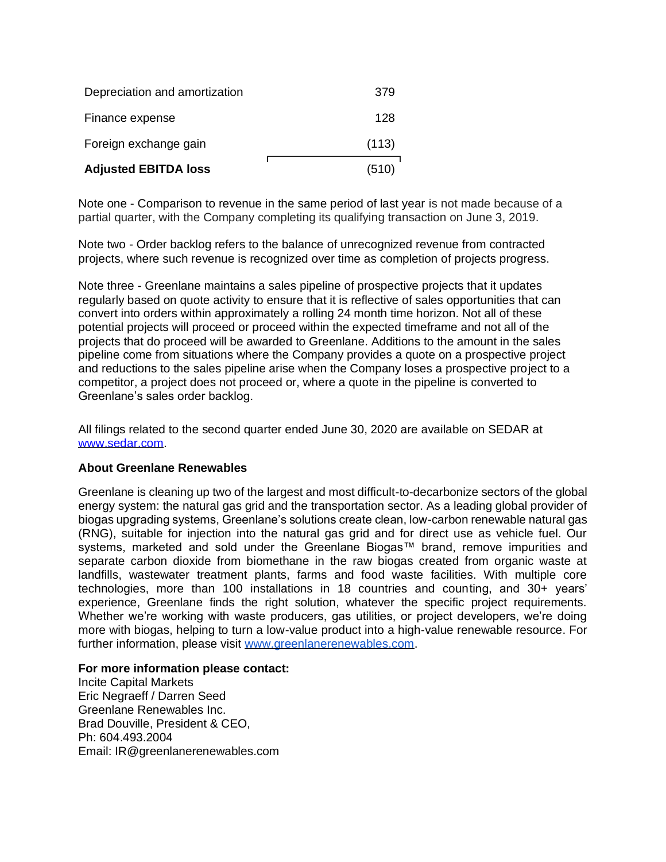| <b>Adjusted EBITDA loss</b>   | (510) |
|-------------------------------|-------|
| Foreign exchange gain         | (113) |
| Finance expense               | 128   |
| Depreciation and amortization | 379   |

Note one - Comparison to revenue in the same period of last year is not made because of a partial quarter, with the Company completing its qualifying transaction on June 3, 2019.

Note two - Order backlog refers to the balance of unrecognized revenue from contracted projects, where such revenue is recognized over time as completion of projects progress.

Note three - Greenlane maintains a sales pipeline of prospective projects that it updates regularly based on quote activity to ensure that it is reflective of sales opportunities that can convert into orders within approximately a rolling 24 month time horizon. Not all of these potential projects will proceed or proceed within the expected timeframe and not all of the projects that do proceed will be awarded to Greenlane. Additions to the amount in the sales pipeline come from situations where the Company provides a quote on a prospective project and reductions to the sales pipeline arise when the Company loses a prospective project to a competitor, a project does not proceed or, where a quote in the pipeline is converted to Greenlane's sales order backlog.

All filings related to the second quarter ended June 30, 2020 are available on SEDAR at [www.sedar.com.](http://www.sedar.com/)

## **About Greenlane Renewables**

Greenlane is cleaning up two of the largest and most difficult-to-decarbonize sectors of the global energy system: the natural gas grid and the transportation sector. As a leading global provider of biogas upgrading systems, Greenlane's solutions create clean, low-carbon renewable natural gas (RNG), suitable for injection into the natural gas grid and for direct use as vehicle fuel. Our systems, marketed and sold under the Greenlane Biogas™ brand, remove impurities and separate carbon dioxide from biomethane in the raw biogas created from organic waste at landfills, wastewater treatment plants, farms and food waste facilities. With multiple core technologies, more than 100 installations in 18 countries and counting, and 30+ years' experience, Greenlane finds the right solution, whatever the specific project requirements. Whether we're working with waste producers, gas utilities, or project developers, we're doing more with biogas, helping to turn a low-value product into a high-value renewable resource. For further information, please visit [www.greenlanerenewables.com.](http://www.greenlanerenewables.com/)

#### **For more information please contact:**

Incite Capital Markets Eric Negraeff / Darren Seed Greenlane Renewables Inc. Brad Douville, President & CEO, Ph: 604.493.2004 Email: IR@greenlanerenewables.com